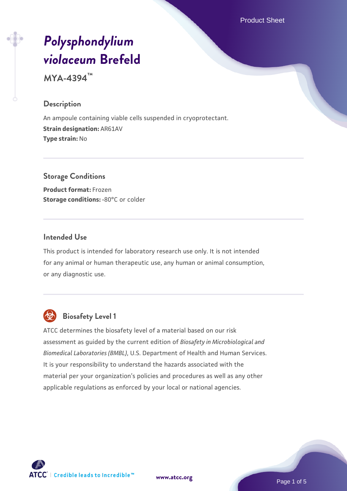Product Sheet

# *[Polysphondylium](https://www.atcc.org/products/mya-4394) [violaceum](https://www.atcc.org/products/mya-4394)* **[Brefeld](https://www.atcc.org/products/mya-4394)**

**MYA-4394™**

#### **Description**

An ampoule containing viable cells suspended in cryoprotectant. **Strain designation:** AR61AV **Type strain:** No

**Storage Conditions Product format:** Frozen **Storage conditions: -80°C or colder** 

#### **Intended Use**

This product is intended for laboratory research use only. It is not intended for any animal or human therapeutic use, any human or animal consumption, or any diagnostic use.



## **Biosafety Level 1**

ATCC determines the biosafety level of a material based on our risk assessment as guided by the current edition of *Biosafety in Microbiological and Biomedical Laboratories (BMBL)*, U.S. Department of Health and Human Services. It is your responsibility to understand the hazards associated with the material per your organization's policies and procedures as well as any other applicable regulations as enforced by your local or national agencies.



**[www.atcc.org](http://www.atcc.org)**

Page 1 of 5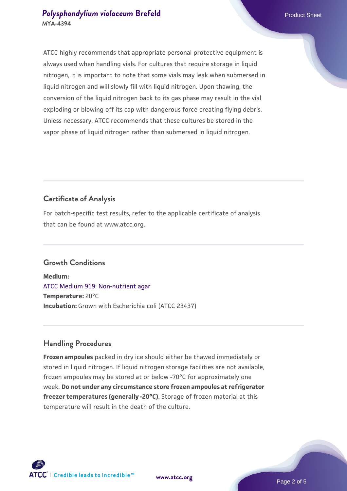#### **[Polysphondylium violaceum](https://www.atcc.org/products/mya-4394) [Brefeld](https://www.atcc.org/products/mya-4394)** Product Sheet **MYA-4394**

ATCC highly recommends that appropriate personal protective equipment is always used when handling vials. For cultures that require storage in liquid nitrogen, it is important to note that some vials may leak when submersed in liquid nitrogen and will slowly fill with liquid nitrogen. Upon thawing, the conversion of the liquid nitrogen back to its gas phase may result in the vial exploding or blowing off its cap with dangerous force creating flying debris. Unless necessary, ATCC recommends that these cultures be stored in the vapor phase of liquid nitrogen rather than submersed in liquid nitrogen.

### **Certificate of Analysis**

For batch-specific test results, refer to the applicable certificate of analysis that can be found at www.atcc.org.

#### **Growth Conditions**

**Medium:**  [ATCC Medium 919: Non-nutrient agar](https://www.atcc.org/-/media/product-assets/documents/microbial-media-formulations/9/1/9/atcc-medium-919.pdf?rev=f4e1e31d2b4249c2a4e4c31a4c703c9e) **Temperature:** 20°C **Incubation:** Grown with Escherichia coli (ATCC 23437)

#### **Handling Procedures**

**Frozen ampoules** packed in dry ice should either be thawed immediately or stored in liquid nitrogen. If liquid nitrogen storage facilities are not available, frozen ampoules may be stored at or below -70°C for approximately one week. **Do not under any circumstance store frozen ampoules at refrigerator freezer temperatures (generally -20°C)**. Storage of frozen material at this temperature will result in the death of the culture.



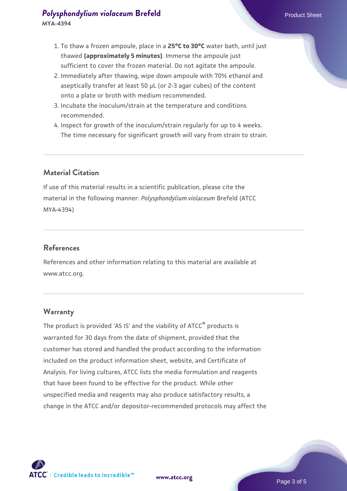- 1. To thaw a frozen ampoule, place in a **25°C to 30°C** water bath, until just thawed **(approximately 5 minutes)**. Immerse the ampoule just sufficient to cover the frozen material. Do not agitate the ampoule.
- 2. Immediately after thawing, wipe down ampoule with 70% ethanol and aseptically transfer at least 50 µL (or 2-3 agar cubes) of the content onto a plate or broth with medium recommended.
- 3. Incubate the inoculum/strain at the temperature and conditions recommended.
- 4. Inspect for growth of the inoculum/strain regularly for up to 4 weeks. The time necessary for significant growth will vary from strain to strain.

#### **Material Citation**

If use of this material results in a scientific publication, please cite the material in the following manner: *Polysphondylium violaceum* Brefeld (ATCC MYA-4394)

#### **References**

References and other information relating to this material are available at www.atcc.org.

#### **Warranty**

The product is provided 'AS IS' and the viability of ATCC® products is warranted for 30 days from the date of shipment, provided that the customer has stored and handled the product according to the information included on the product information sheet, website, and Certificate of Analysis. For living cultures, ATCC lists the media formulation and reagents that have been found to be effective for the product. While other unspecified media and reagents may also produce satisfactory results, a change in the ATCC and/or depositor-recommended protocols may affect the

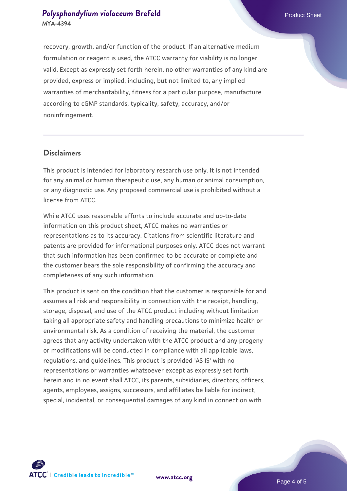#### **[Polysphondylium violaceum](https://www.atcc.org/products/mya-4394) [Brefeld](https://www.atcc.org/products/mya-4394)** Product Sheet **MYA-4394**

recovery, growth, and/or function of the product. If an alternative medium formulation or reagent is used, the ATCC warranty for viability is no longer valid. Except as expressly set forth herein, no other warranties of any kind are provided, express or implied, including, but not limited to, any implied warranties of merchantability, fitness for a particular purpose, manufacture according to cGMP standards, typicality, safety, accuracy, and/or noninfringement.

#### **Disclaimers**

This product is intended for laboratory research use only. It is not intended for any animal or human therapeutic use, any human or animal consumption, or any diagnostic use. Any proposed commercial use is prohibited without a license from ATCC.

While ATCC uses reasonable efforts to include accurate and up-to-date information on this product sheet, ATCC makes no warranties or representations as to its accuracy. Citations from scientific literature and patents are provided for informational purposes only. ATCC does not warrant that such information has been confirmed to be accurate or complete and the customer bears the sole responsibility of confirming the accuracy and completeness of any such information.

This product is sent on the condition that the customer is responsible for and assumes all risk and responsibility in connection with the receipt, handling, storage, disposal, and use of the ATCC product including without limitation taking all appropriate safety and handling precautions to minimize health or environmental risk. As a condition of receiving the material, the customer agrees that any activity undertaken with the ATCC product and any progeny or modifications will be conducted in compliance with all applicable laws, regulations, and guidelines. This product is provided 'AS IS' with no representations or warranties whatsoever except as expressly set forth herein and in no event shall ATCC, its parents, subsidiaries, directors, officers, agents, employees, assigns, successors, and affiliates be liable for indirect, special, incidental, or consequential damages of any kind in connection with



**[www.atcc.org](http://www.atcc.org)**

Page 4 of 5